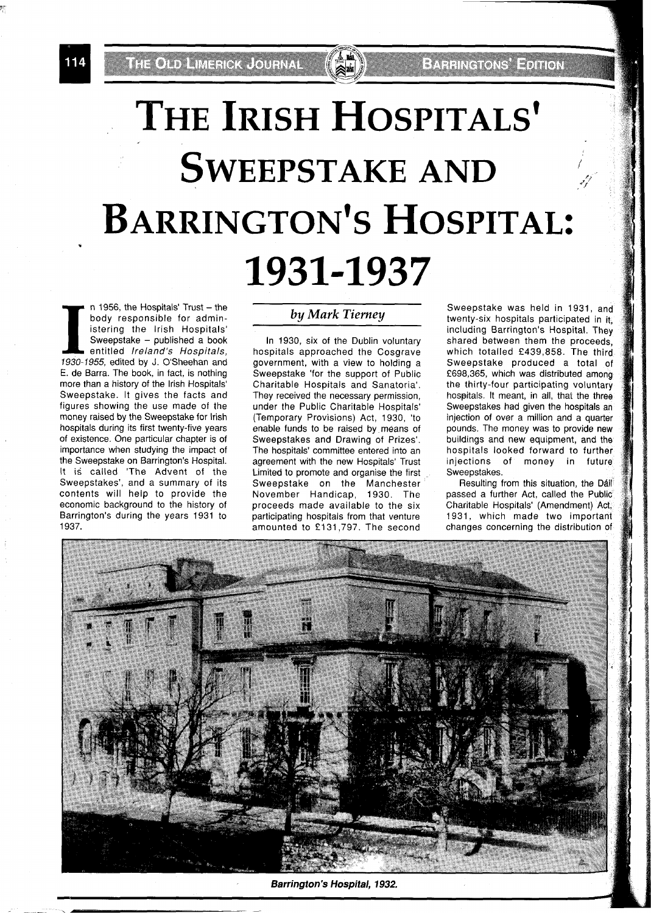.<br>Me'lumot ambrida Journal

# THE IRISH HOSPITALS' **SWEEPSTAKE AND** BARRINGTON'S HOSPITAL: 1931-1937

**I a** 1956, the Hospitals' Trust - the body responsible for administering the Irish Hospitals' Sweepstake - published a book entitled *Ireland's Hospitals*, 1930-1955, edited by J. O'Sheehan and body responsible for administering the lrish Hospitals' Sweepstake - published a book entitled Ireland's Hospitals, E. de Barra. The book, in fact, is nothing more than a history of the lrish Hospitals' Sweepstake. It gives the facts and figures showing the use made of the money raised by the Sweepstake for lrish hospitals during its first twenty-five years of existence. One particular chapter is of importance when studying the impact of the Sweepstake on Barrington's Hospital. It is called 'The Advent of the Sweepstakes', and a summary of its contents will help to provide the economic background to the history of Barrington's during the years 1931 to 1937.

#### *by Mark Tierney*

In 1930, six of the Dublin voluntary hospitals approached the Cosgrave government, with a view to holding a Sweepstake 'for the support of Public Charitable Hospitals and Sanatoria'. They received the necessary permission, under the Public Charitable Hospitals' (Temporary Provisions) Act, 1930, 'to enable funds to be raised by means of Sweepstakes and Drawing of Prizes'. The hospitals' committee entered into an agreement with the new Hospitals' Trust Limited to promote and organise the first Sweepstake on the Manchester November Handicap, 1930. The proceeds made available to the six participating hospitals from that venture amounted to £131,797. The second

Sweepstake was held in 1931, and twenty-six hospitals participated in it, including Barrington's Hospital. They shared between them the proceeds, which totalled £439,858. The third Sweepstake produced a total of £698,365, which was distributed among the thirty-four participating voluntary hospitals. It meant, in all, that the three Sweepstakes had given the hospitals an injection of over a million and a quarter pounds. The money was to provide new buildings and new equipment, and the hospitals looked forward to further injections of money in future Sweepstakes.

Resulting from this situation, the Dáil passed a further Act, called the Public Charitable Hospitals' (Amendment) Act, 1931, which made two important changes concerning the distribution of



**Barrington's Hospital, 7932,**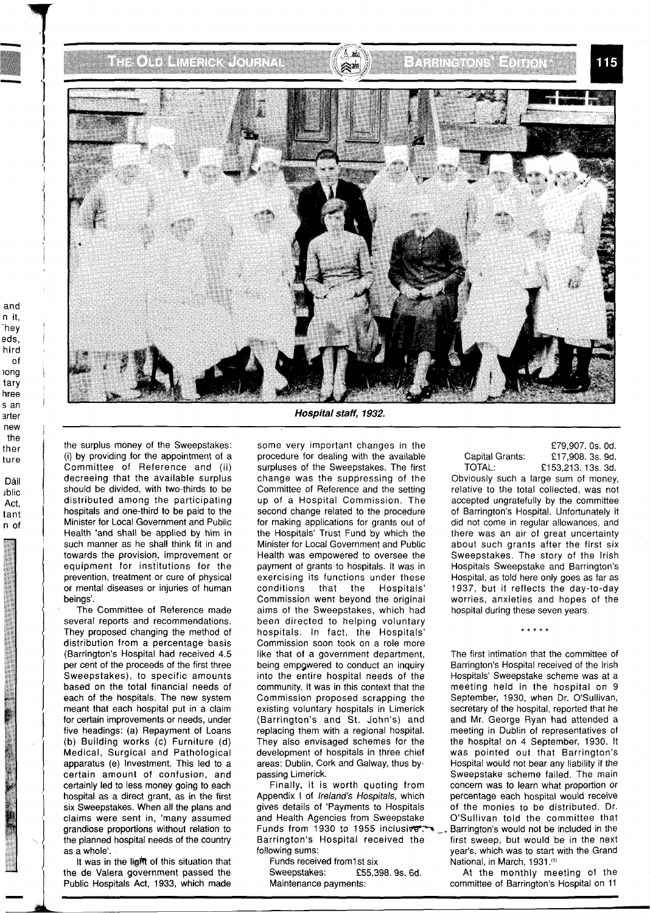# the one had a color of

-

and n it, -hey eds, hird  $\mathsf{d}$ long tary hree S an arter new the ther ture Dáil ~blic Act, tant

n of

### antara Print

115



**Hospital staff, 1932.** 

the surplus money of the Sweepstakes: (i) by providing for the appointment of a Committee of Reference and (ii) decreeing that the available surplus should be divided, with two-thirds to be distributed among the participating hospitals and one-third to be paid to the Minister for Local Government and Public Health 'and shall be applied by him in such manner as he shall think fit in and towards the provisioh, improvement or equipment for institutions for the prevention, treatment or cure of physical or mental diseases or injuries of human beings'.

The Committee of Reference made several reports and recommendations. They proposed changing the method of distribution from a percentage basis (Barrington's Hospital had received 4.5 per cent of the proceeds of the first three Sweepstakes), to specific amounts based on the total financial needs of each of the hospitals. The new system meant that each hospital put in a claim for certain improvements or needs, under five headings: (a) Repayment of Loans (b) Building works (c) Furniture (d) Medical, Surgical and Pathological apparatus (e) Investment. This led to a certain amount of confusion, and certainly led to less money going to each hospital as a direct grant, as in the first six Sweepstakes. When all the plans and claims were sent in, 'many assumed grandiose proportions without relation to the planned hospital needs of the country as a whole'.

It was in the lig笊 of this situation that the de Valera government passed the Public Hospitals Act, 1933, which made

some very important changes in the procedure for dealing with the available surpluses of the Sweepstakes. The first change was the suppressing of the Committee of Reference and the setting up of a Hospital Commission. The second change related to the procedure for making applications for grants out of the Hospitals' Trust Fund by which the Minister for Local Government and Public Health was empowered to oversee the payment of grants to hospitals. It was in exercising its functions under these conditions that the Hospitals' Commission went beyond the original aims of the Sweepstakes, which had been directed to helping voluntary hospitals. In fact, the Hospitals' Commission soon took on a role more like that of a government department, being empowered to conduct an inquiry into the entire hospital needs of the community. It was in this context that the Commission proposed scrapping the existing voluntary hospitals in Limerick (Barrington's and St. John's) and replacing them with a regional hospital. They also envisaged schemes for the development of hospitals in three chief areas: Dublin, Cork and Galway, thus bypassing Limerick.

Finally, it is worth quoting from Appendix I of Ireland's Hospitals, which gives details of 'Payments to Hospitals and Health Agencies from Sweepstake Funds from 1930 to 1955 inclusive  $T^*$  - Barrington's would not be included in the Barrington's Hospital received the first sweep, but would be in the next

£79,907. OS. Od. Capital Grants: **f 17,908. 3s. 9d.**<br>TOTAL: **f** 153,213, 13s. 3d. £153,213. 13s. 3d.

Obviously such a large sum of money, relative to the total collected, was not accepted ungratefully by the committee of Barrington's Hospital. Unfortunately it did not come in regular allowances, and there was an air of great uncertainty about such grants after the first six Sweepstakes. The story of the lrish Hospitals Sweepstake and Barrington's Hospital, as told here only goes as far as 1937, but it reflects the day-to-day worries, anxieties and hopes of the hospital during these seven years.

The first intimation that the committee of Barrington's Hospital received of the lrish Hospitals' Sweepstake scheme was at a meeting held in the hospital on 9 September, 1930, when Dr. O'Sullivan, secretary of the hospital, reported that he and Mr. George Ryan had attended a meeting in Dublin of representatives of the hospital on 4 September, 1930. It was pointed out that Barrington's Hospital would not bear any liability if the Sweepstake scheme failed. The main concern was to learn what proportion or percentage each hospital would receive of the monies to be distributed. Dr. O'Sullivan told the committee that first sweep, but would be in the next following sums: year's, which was to start with the Grand National, in March, 1931.(1)

Sweepstakes: £55,398. 9s. 6d. At the monthly meeting of the Maintenance payments: committee of Barrington's Hospital on 11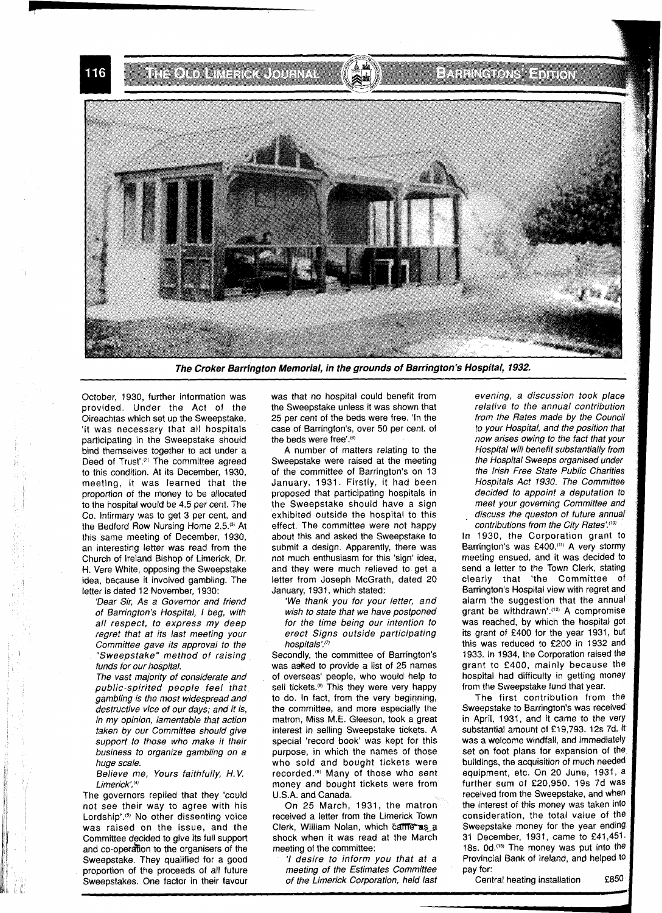THE CLO LIMENCK JOURNAL Briting of Series

**The Croker Barrington Memorial, in the grounds of Barrington's Hospital, 1932.** 

October, 1930, further information was provided. Under the Act of the Oireachtas which set up the Sweepstake, 'it was necessary that all hospitals participating in the Sweepstake should bind themselves together to act under a Deed of Trust'.<sup>(2)</sup> The committee agreed to this condition. At its December, 1930, meeting, it was learned that the proportion of the money to be allocated to the hospital would be 4.5 per cent. The Co. Infirmary was to get 3 per cent, and the Bedford Row Nursing Home 2.5.<sup>(3)</sup> At this same meeting of December, 1930, an interesting letter was read from the Church of Ireland Bishop of Limerick, Dr. H. Vere White, opposing the Sweepstake idea, because it involved gambling. The letter is dated 12 November, 1930:

'Dear Sir, As a Governor and friend of Barrington's Hospital, I beg, with all respect, to express my deep regret that at its last meeting your Committee gave its approval to the "Sweepstake" method of raising funds for our hospital.

The vast majority of considerate and public-spirited people feel that gambling is the most widespread and destructive vice of our days; and it is, in my opinion, lamentable that action taken by our Committee should give support to those who make it their business to organize gambling on a huge scale.

Believe me, Yours faithfully, H. V. Limerick'.<sup>(4)</sup>

The governors replied that they 'could not see their way to agree with his Lordship'.<sup>(5)</sup> No other dissenting voice was raised on the issue, and the Committee decided to give its full support and CO-operdifion to the organisers of the Sweepstake. They qualified for a good proportion of the proceeds of all future Sweepstakes. One factor in their favour was that no hospital could benefit from the Sweepstake unless it was shown that 25 per cent of the beds were free. 'In the case of Barrington's, over 50 per cent. of the beds were free'.<sup>(6)</sup>

A number of matters relating to the Sweepstake were raised at the meeting of the committee of Barrington's on 13 January, 1931. Firstly, it had been proposed that participating hospitals in the Sweepstake should have a sign exhibited outside the hospital to this effect. The committee were not happy about this and asked the Sweepstake to submit a design. Apparently, there was not much enthusiasm for this 'sign' idea, and they were much relieved to get a letter from Joseph McGrath, dated 20 January, 1931, which stated:

'We thank you for your letter, and wish to state that we have postponed for the time being our intention to erect Signs outside participating hospitals'.(?)

Secondly, the committee of Barrington's was as ked to provide a list of 25 names of overseas' people, who would help to sell tickets.<sup>(8)</sup> This they were very happy to do. In fact, from the very beginning, the committee, and more especially the matron, Miss M.E. Gleeson, took a great interest in selling Sweepstake tickets. A special 'record book' was kept for this purpose, in which the names of those who sold and bought tickets were recorded.<sup>(9)</sup> Many of those who sent money and bought tickets were from U.S.A. and Canada.

On 25 March, 1931, the matron received a letter from the Limerick Town Clerk, William Nolan, which came as a shock when it was read at the March meeting of the committee:

'I desire to inform you that at a meeting of the Estimates Committee of the Limerick Corporation, held last evening, a discussion took place relative to the annual contribution from the Rates made by the Council to your Hospital, and the position that now arises owing to the fact that your Hospital will benefit substantially from the Hospital Sweeps organised under the Irish Free State Public Charities Hospitals Act 1930. The Committee decided to appoint a deputation to meet your governing Committee and discuss the queston of future annual contributions from the City Rates'.<sup>(10)</sup>

In 1930, the Corporation grant to Barrington's was £400.<sup>(11)</sup> A very stormy meeting ensued, and it was decided to send a letter to the Town Clerk, stating clearly that 'the Committee of Barrington's Hospital view with regret and alarm the suggestion that the annual grant be withdrawn'.<sup>(12)</sup> A compromise was reached, by which the hospital got its grant of £400 for the year 1931, but this was reduced to £200 in 1932 and 1933. In 1934, the Corporation raised the grant to £400, mainly because the hospital had difficulty in getting money from the Sweepstake fund that year.

The first contribution from the Sweepstake to Barrington's was received in April, 1931, and it came to the very substantial amount of £19,793. 12s 7d. It was a welcome windfall, and immediately set on foot plans for expansion of the buildings, the acquisition of much needed equipment, etc. On 20 June, 1931, a further sum of £20,950, 19s 7d was received from the Sweepstake, and when the interest of this money was taken into consideration, the total value of the Sweepstake money for the year ending 31 December, 1931, came to £41,451. 18s. 0d.<sup>(13)</sup> The money was put into the Provincial Bank of Ireland, and helped to pay for:

Central heating installation E850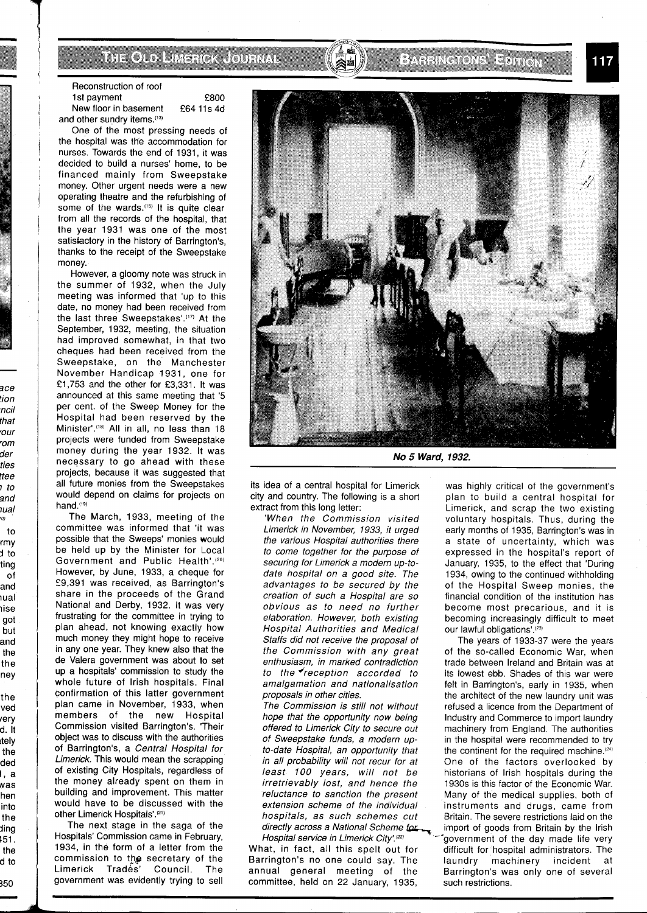THOID IMERICA LOURN

Reconstruction of roof<br>
1st payment<br>
E800

1st payment<br>New floor in basement E64 11s 4d and other sundry items.<sup>(13)</sup>

One of the most pressing needs of the hospital was the accommodation for nurses. Towards the end of 1931, it was decided to build a nurses' home, to be financed mainly from Sweepstake money. Other urgent needs were a new operating theatre and the refurbishing of some of the wards.<sup>(15)</sup> It is quite clear from all the records of the hospital, that the year 1931 was one of the most satisfactory in the history of Barrington's, thanks to the receipt of the Sweepstake money.

However, a gloomy note was struck in the summer of 1932, when the July meeting was informed that 'up to this date, no money had been received from the last three Sweepstakes'.<sup>(17)</sup> At the September, 1932, meeting, the situation had improved somewhat, in that two cheques had been received from the Sweepstake, on the Manchester November Handicap 1931, one for E 1,753 and the other for £3,331. It was announced at this same meeting that '5 per cent. of the Sweep Money for the Hospital had been reserved by the Minister'.(18) All in all, no less than 18 projects were funded from Sweepstake money during the year 1932. It was necessary to go ahead with these projects, because it was suggested that all future monies from the Sweepstakes would depend on claims for projects on hand.<sup>(19)</sup>

3ce lion ncil that 'our

der ties ttee 1 to 2nd iual '01 to rmy **j** to ting of and ~ual iise got but and the the ney the ved rery d. It ltely the ded 1, a NaS hen into the ding 151. the d to 350  $\frac{d}{d}$  to  $\frac{350}{d}$ 

rom

The March, 1933, meeting of the committee was informed that 'it was possible that the Sweeps' monies would be held up by the Minister for Local Government and Public Health'.(2o) However, by June, 1933, a cheque for 59,391 was received, as Barrington's share in the proceeds of the Grand National and Derby, 1932. It was very frustrating for the committee in trying to plan ahead, not knowing exactly how much money they might hope to receive in any one year. They knew also that the de Valera government was about to set up a hospitals' commission to study the whole future of lrish hospitals. Final confirmation of this latter government plan came in November, 1933, when members of the new Hospital Commission visited Barrington's. 'Their object was to discuss with the authorities of Barrington's, a Central Hospital for Limerick. This would mean the scrapping of existing City Hospitals, regardless of the money already spent on them in building and improvement. This matter would have to be discussed with the other Limerick Hospitals'.(2')

The next stage in the saga of the Hospitals' Commission came in February, 1934, in the form of a letter from the commission to the secretary of the Limerick Trades' Council. The government was evidently trying to sell



BARRINGTONS EPITION

its idea of a central hospital for Limerick city and country. The following is a short extract from this long letter:

'When the Commission visited Limerick in November, 1933, it urged the various Hospital authorities there to come together for the purpose of securing for Limerick a modern up-todate hospital on a good site. The advantages to be secured by the creation of such a Hospital are so obvious as to need no further elaboration. However, both existing Hospital Authorities and Medical Staffs did not receive the proposal of the Commission with any great enthusiasm, in marked contradiction to the  $\epsilon$  reception accorded to amalgamation and nationalisation proposals in other cities.

The Commission is still not without hope that the opportunity now being offered to Limerick City to secure out of Sweepstake funds, a modern upto-date Hospital, an opportunity that in all probability will not recur for at least 100 years, will not be irretrievably lost, and hence the reluctance to sanction the present extension scheme of the individual hospitals, as such schemes cut directly across a National Scheme for Asset Hospital service in Limerick City.<sup>[22]</sup>

Barrington's no one could say. The laundry machinery incident at annual general meeting of the Barrington's was only one of several committee, held on 22 January, 1935, such restrictions.

was highly critical of the government's plan to build a central hospital for Limerick, and scrap the two existing voluntary hospitals. Thus, during the early months of 1935, Barrington's was in a state of uncertainty, which was expressed in the hospital's report of January, 1935, to the effect that 'During 1934, owing to the continued withholding of the Hospital Sweep monies, the financial condition of the institution has become most precarious, and it is becoming increasingly difficult to meet our lawful obligations'.<sup>(23)</sup>

The years of 1933-37 were the years of the so-called Economic War, when trade between Ireland and Britain was at its lowest ebb. Shades of this war were felt in Barrington's, early in 1935, when the architect of the new laundry unit was refused a licence from the Department of Industry and Commerce to import laundry machinery from England. The authorities in the hospital were recommended to try the continent for the required machine.<sup>(24)</sup> One of the factors overlooked by historians of lrish hospitals during the 1930s is this factor of the Economic War. Many of the medical supplies, both of instruments and drugs, came from Britain. The severe restrictions laid on the import of goods from Britain by the Irish Hospital service in Limerick City'.<sup>(22)</sup>  $\int$   $\int$  3overnment of the day made life very What, in fact, all this spelt out for allfficult for hospital administrators. The difficult for hospital administrators. The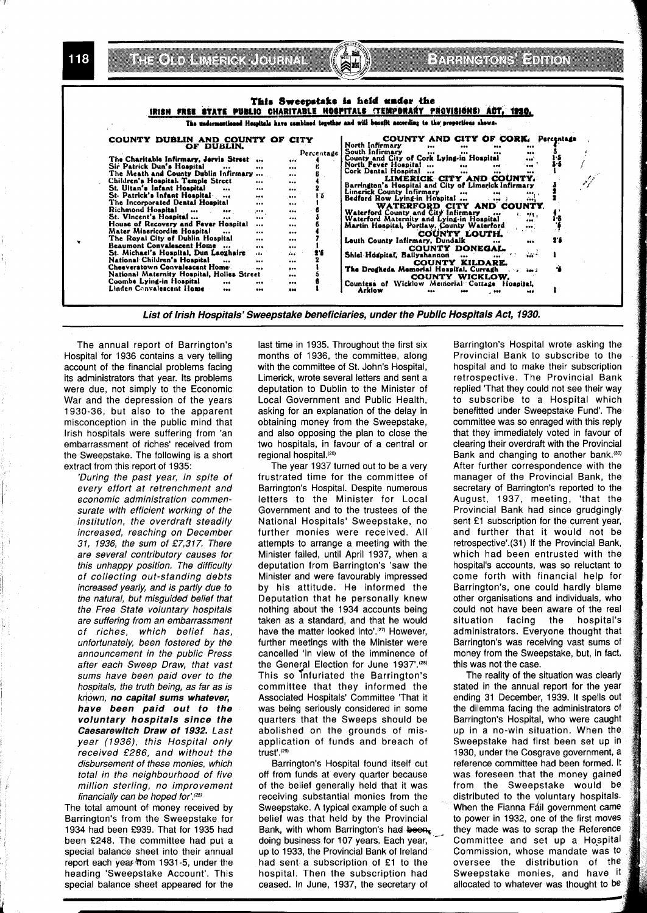**THE OND LIMERICA JOURNAL** 

118

# BATHKGRONS HEDRON

| IRISH FREE STATE PUBLIC CHARITABLE HOSPITALS (TEMPORARY PROVISIONS) ACT, 1920.<br>The undermentioned Hespitals have combined together and will benefit according to the proportions shows.                                                                                                                                                                                                                                                                                                                                                                                                                                                                                                                                                                                                                                                          |                                                                                                                                    |                                                                                                                                                                                                                                                                                                                                                                                                                                                                                                                                                                                                                                                                                                                                                                                                                                                                                                                                                                       |                |
|-----------------------------------------------------------------------------------------------------------------------------------------------------------------------------------------------------------------------------------------------------------------------------------------------------------------------------------------------------------------------------------------------------------------------------------------------------------------------------------------------------------------------------------------------------------------------------------------------------------------------------------------------------------------------------------------------------------------------------------------------------------------------------------------------------------------------------------------------------|------------------------------------------------------------------------------------------------------------------------------------|-----------------------------------------------------------------------------------------------------------------------------------------------------------------------------------------------------------------------------------------------------------------------------------------------------------------------------------------------------------------------------------------------------------------------------------------------------------------------------------------------------------------------------------------------------------------------------------------------------------------------------------------------------------------------------------------------------------------------------------------------------------------------------------------------------------------------------------------------------------------------------------------------------------------------------------------------------------------------|----------------|
| COUNTY DUBLIN AND COUNTY OF CITY<br>OF DUBLIN.<br>The Charitable Infirmary, Jervis Street<br>Sir Patrick Dun's Hospital<br><br>The Meath and County Dublin Infirmary<br>Children's Hospital. Temple Street<br><br>St. Ultan's Infant Hospital<br>$\cdots$<br>$$<br>St. Patrick's Infant Hospital<br>$\cdots$<br>The Incorporated Dental Hospital<br><br>Richmond Hospital<br><br><br>St. Vincent's Hospital<br><br>$\cdots$<br>House of Recovery and Fever Hospital<br><br>Mater Misericordiæ Hospital<br><br>The Royal City of Dublin Hospital<br>$\cdots$<br>Beaumont Convalescent Home<br><br>St. Michael's Hospital, Dun Laozhaire<br><br>National Children's Hospital<br><br>Cheeverstown Convalescent Home<br><br>National Maternity Hospital, Holles Street<br>Coombe Lying-in Hospital<br><br><br>Linden Convalencent Home<br>$\bullet$<br> | Percentage<br><br><br><br>$\cdots$<br><br>16<br><br>$\cdots$<br><br><br><br><br><br><br>26<br><br>$\cdots$<br><br>$\cdots$<br><br> | COUNTY AND CITY OF CORK. Percentage<br>North Infirmary<br><br><br><br>South Infirmary<br>$\cdots$<br><br>County and City of Cork Lying-in Hospital<br><br>North Fever Hospital<br>$\bullet\bullet\bullet$<br>$\ddotsc$<br><br>Cork Dental Hospital<br><br><br><br>LIMERICK CITY AND COUNTY.<br>Barrington's Hospital and City of Limerick Infirmary<br>Limerick County Infirmary<br>$\cdots$<br><br>$\cdots$<br>Bedford Row Lying-in Hospital<br>.  )<br><br>WATERFORD CITY AND COUNTY.<br>Waterford County and City Infirmary<br>.<br>-91.<br>Waterford Maternity and Lying-in Hospital<br><br>Martin Hospital, Portlaw, County Waterford<br><br>COUNTY LOUTH.<br>Louth County Infirmary, Dundalk<br><br>COUNTY DONEGAL.<br>Shiel Hospital, Ballyshannon<br>2.5 <sub>o</sub><br>$\cdots$<br>COUNTY KILDARE.<br>The Drogheda Memorial Hospital, Curragh<br>الانتقاذ<br>COUNTY WICKLOW.<br>Countess of Wicklow Memorial Cottage Hospital.<br>Arklow<br><br>$.$ too<br> | $3 - 5$<br>2.6 |

List of Irish Hospitals' Sweepstake beneficiaries, under the Public Hospitals Act, 1930.

The annual report of Barrington's Hospital for 1936 contains a very telling account of the financial problems facing its administrators that year. Its problems were due, not simply to the Economic War and the depression of the years 1930-36, but also to the apparent misconception in the public mind that Irish hospitals were suffering from 'an embarrassment of riches' received from the Sweepstake. The following is a short extract from this report of 1935:

'During the past year, in spite of every effort at retrenchment and economic administration commensurate with efficient working of the institution, the overdraft steadily increased, reaching on December 31, 1936, the sum of £7,317. There are several contributory causes for this unhappy position. The difficulty of collecting out-standing debts increased yearly, and is partly due to the natural, but misguided belief that the Free State voluntary hospitals are suffering from an embarrassment of riches, which belief has, unfortunately, been fostered by the announcement in the public Press after each Sweep Draw, that vast sums have been paid over to the hospitals, the truth being, as far as is known, no capital sums whatever, have been paid out to the voluntary hospitals since the Caesarewitch Draw of 1932. Last year (1936), this Hospital only received £286, and without the disbursement of these monies, which total in the neighbourhood of five million sterling, no improvement financially can be hoped for'.(25)

The total amount of money received by Barrington's from the Sweepstake for 1934 had been £939. That for 1935 had been £248. The committee had put a special balance sheet into their annual report each year from 1931-5, under the heading 'Sweepstake Account'. This special balance sheet appeared for the last time in 1935. Throughout the first six months of 1936, the committee, along with the committee of St. John's Hospital. Limerick, wrote several letters and sent a deputation to Dublin to the Minister of Local Government and Public Health, asking for an explanation of the delay in obtaining money from the Sweepstake, and also opposing the plan to close the two hospitals, in favour of a central or regional hospital.<sup>(26)</sup>

The year 1937 turned out to be a very frustrated time for the committee of Barrington's Hospital. Despite numerous letters to the Minister for Local Government and to the trustees of the National Hospitals' Sweepstake, no further monies were received. All attempts to arrange a meeting with the Minister failed, until April 1937, when a deputation from Barrington's 'saw the Minister and were favourably impressed by his attitude. He informed the Deputation that he personally knew nothing about the 1934 accounts being taken as a standard, and that he would have the matter looked into'.<sup>(27)</sup> However, further meetings with the Minister were cancelled 'in view of the imminence of the General Election for June 1937'.(28) This so infuriated the Barrington's committee that they informed the Associated Hospitals' Committee 'That it was being seriously considered in some quarters that the Sweeps should be abolished on the grounds of misapplication of funds and breach of trust'.(29)

Barrington's Hospital found itself cut off from funds at every quarter because of the belief generally held that it was receiving substantial monies from the Sweepstake. A typical example of such a belief was that held by the Provincial Bank, with whom Barrington's had been, doing business for 107 years. Each year, up to 1933, the Provincial Bank of Ireland had sent a subscription of £1 to the hospital. Then the subscription had ceased. In June, 1937, the secretary of

Barrington's Hospital wrote asking the Provincial Bank to subscribe to the hospital and to make their subscription retrospective. The Provincial Bank replied 'That they could not see their way to subscribe to a Hospital which benefitted under Sweepstake Fund'. The committee was so enraged with this reply that they immediately voted in favour of clearing their overdraft with the Provincial Bank and changing to another bank.(30) After further correspondence with the manager of the Provincial Bank, the secretary of Barrington's reported to the August, 1937, meeting, 'that the Provincial Bank had since grudgingly sent £1 subscription for the current year, and further that it would not be retrospective'.(31) If the Provincial Bank, which had been entrusted with the hospital's accounts, was so reluctant to come forth with financial help for Barrington's, one could hardly blame other organisations and individuals, who could not have been aware of the real situation facing the hospital's administrators. Everyone thought that Barrington's was receiving vast sums of money from the Sweepstake, but, in fact, this was not the case.

The reality of the situation was clearly stated in the annual report for the year ending 31 December, 1939. It spells out the dilemma facing the administrators of Barrington's Hospital, who were caught up in a no-win situation. When the Sweepstake had first been set up in 1930, under the Cosgrave government, a reference committee had been formed. It was foreseen that the money gained from the Sweepstake would be distributed to the voluntary hospitals. When the Fianna Fáil government came to power in 1932, one of the first moves they made was to scrap the Reference Committee and set up a Hospital Commission, whose mandate was to oversee the distribution of the Sweepstake monies, and have it allocated to whatever was thought to be